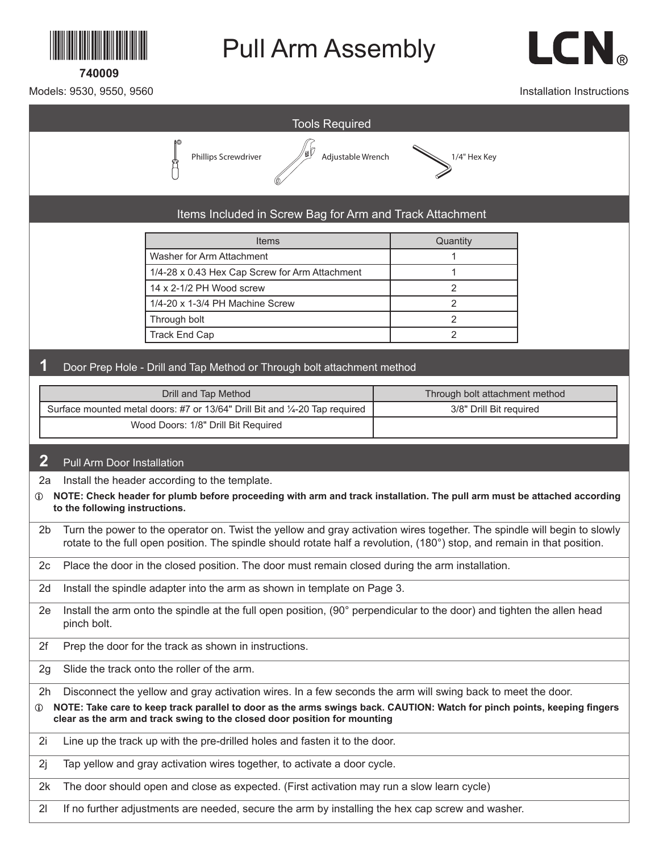

**740009**

## Pull Arm Assembly



Models: 9530, 9550, 9560

Installation Instructions



2l If no further adjustments are needed, secure the arm by installing the hex cap screw and washer.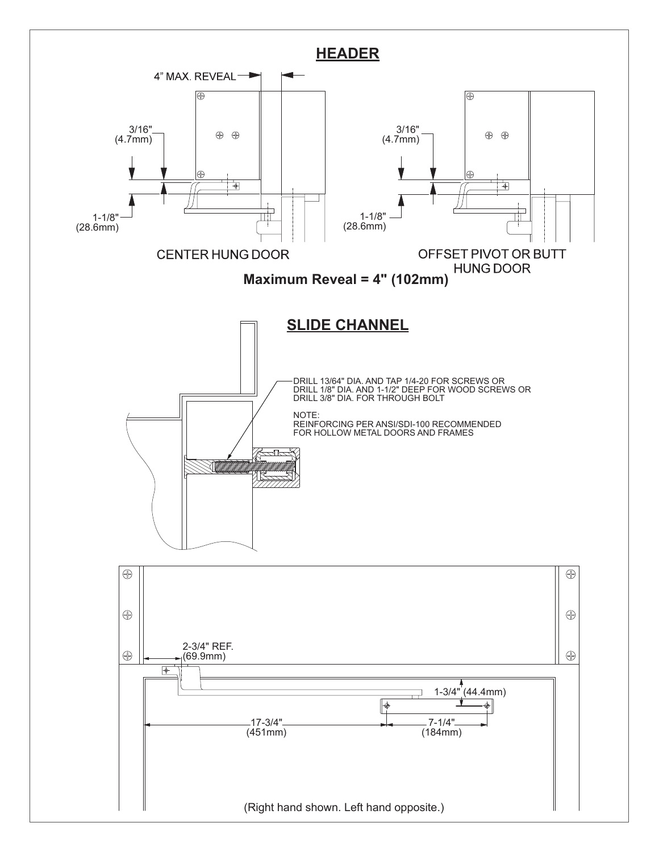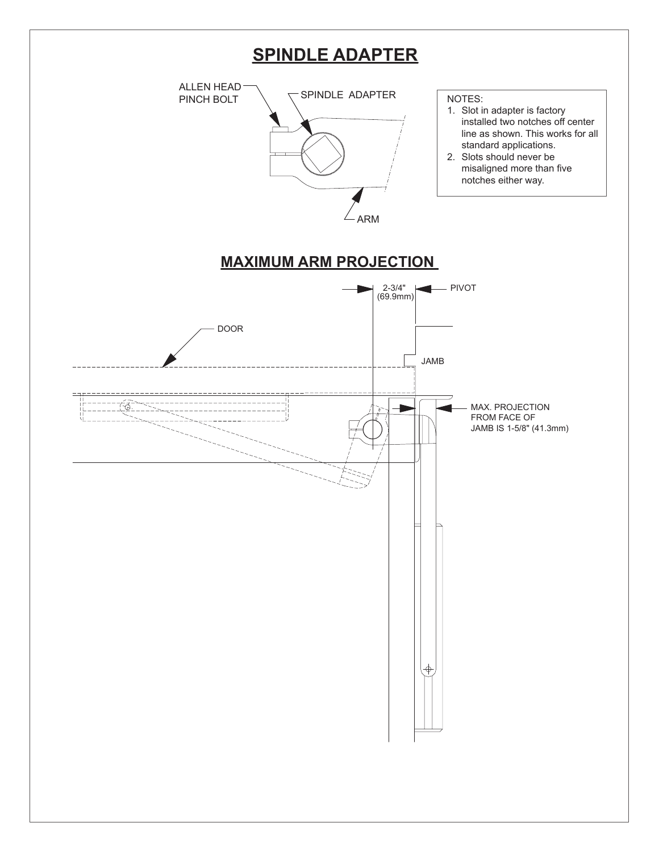